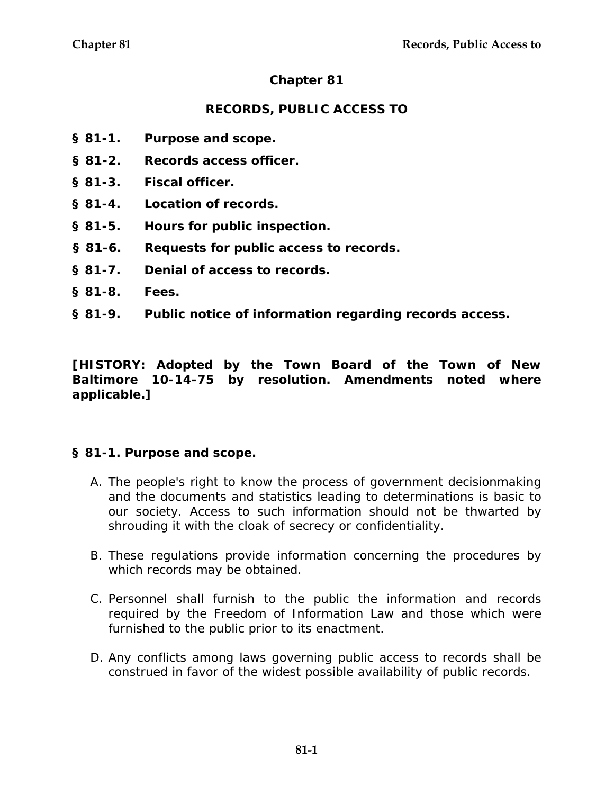# **Chapter 81**

# **RECORDS, PUBLIC ACCESS TO**

- **§ 81-1. Purpose and scope.**
- **§ 81-2. Records access officer.**
- **§ 81-3. Fiscal officer.**
- **§ 81-4. Location of records.**
- **§ 81-5. Hours for public inspection.**
- **§ 81-6. Requests for public access to records.**
- **§ 81-7. Denial of access to records.**
- **§ 81-8. Fees.**
- **§ 81-9. Public notice of information regarding records access.**

**[HISTORY: Adopted by the Town Board of the Town of New Baltimore 10-14-75 by resolution. Amendments noted where applicable.]** 

#### **§ 81-1. Purpose and scope.**

- A. The people's right to know the process of government decisionmaking and the documents and statistics leading to determinations is basic to our society. Access to such information should not be thwarted by shrouding it with the cloak of secrecy or confidentiality.
- B. These regulations provide information concerning the procedures by which records may be obtained.
- C. Personnel shall furnish to the public the information and records required by the Freedom of Information Law and those which were furnished to the public prior to its enactment.
- D. Any conflicts among laws governing public access to records shall be construed in favor of the widest possible availability of public records.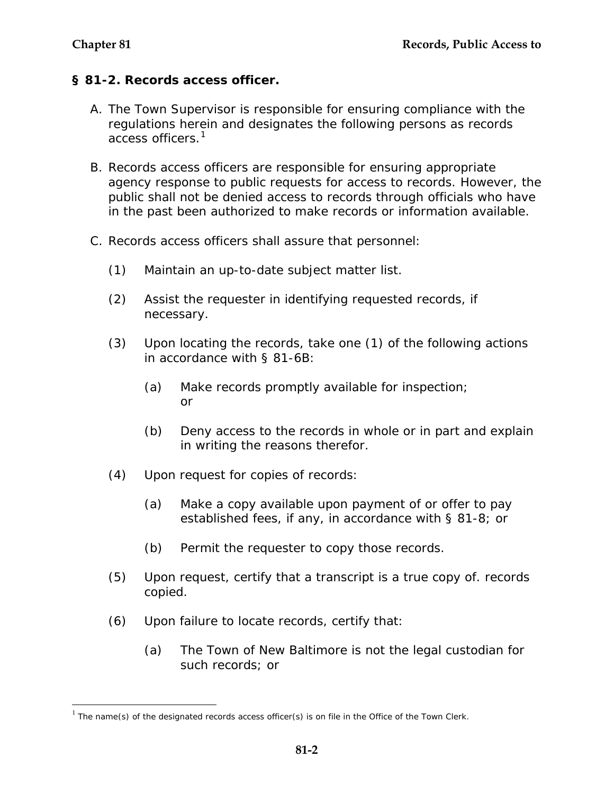$\overline{a}$ 

# **§ 81-2. Records access officer.**

- A. The Town Supervisor is responsible for ensuring compliance with the regulations herein and designates the following persons as records access officers.<sup>[1](#page-1-0)</sup>
- B. Records access officers are responsible for ensuring appropriate agency response to public requests for access to records. However, the public shall not be denied access to records through officials who have in the past been authorized to make records or information available.
- C. Records access officers shall assure that personnel:
	- (1) Maintain an up-to-date subject matter list.
	- (2) Assist the requester in identifying requested records, if necessary.
	- (3) Upon locating the records, take one (1) of the following actions in accordance with § 81-6B:
		- (a) Make records promptly available for inspection; or
		- (b) Deny access to the records in whole or in part and explain in writing the reasons therefor.
	- (4) Upon request for copies of records:
		- (a) Make a copy available upon payment of or offer to pay established fees, if any, in accordance with § 81-8; or
		- (b) Permit the requester to copy those records.
	- (5) Upon request, certify that a transcript is a true copy of. records copied.
	- (6) Upon failure to locate records, certify that:
		- (a) The Town of New Baltimore is not the legal custodian for such records; or

<span id="page-1-0"></span> $1$  The name(s) of the designated records access officer(s) is on file in the Office of the Town Clerk.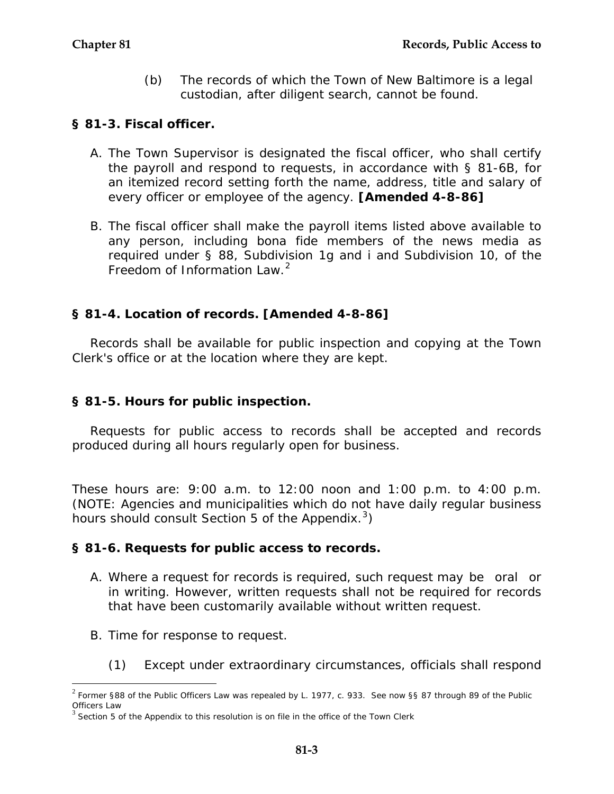(b) The records of which the Town of New Baltimore is a legal custodian, after diligent search, cannot be found.

#### **§ 81-3. Fiscal officer.**

- A. The Town Supervisor is designated the fiscal officer, who shall certify the payroll and respond to requests, in accordance with § 81-6B, for an itemized record setting forth the name, address, title and salary of every officer or employee of the agency. **[Amended 4-8-86]**
- B. The fiscal officer shall make the payroll items listed above available to any person, including bona fide members of the news media as required under § 88, Subdivision 1g and i and Subdivision 10, of the Freedom of Information Law. $2$

## **§ 81-4. Location of records. [Amended 4-8-86]**

Records shall be available for public inspection and copying at the Town Clerk's office or at the location where they are kept.

## **§ 81-5. Hours for public inspection.**

Requests for public access to records shall be accepted and records produced during all hours regularly open for business.

These hours are: 9:00 a.m. to 12:00 noon and 1:00 p.m. to 4:00 p.m. (NOTE: Agencies and municipalities which do not have daily regular business hours should consult Section 5 of the Appendix.<sup>[3](#page-2-1)</sup>)

#### **§ 81-6. Requests for public access to records.**

- A. Where a request for records is required, such request may be oral or in writing. However, written requests shall not be required for records that have been customarily available without written request.
- B. Time for response to request.

 $\overline{a}$ 

(1) Except under extraordinary circumstances, officials shall respond

<span id="page-2-0"></span> $2$  Former §88 of the Public Officers Law was repealed by L. 1977, c. 933. See now §§ 87 through 89 of the Public Officers Law

<span id="page-2-1"></span> $3$  Section 5 of the Appendix to this resolution is on file in the office of the Town Clerk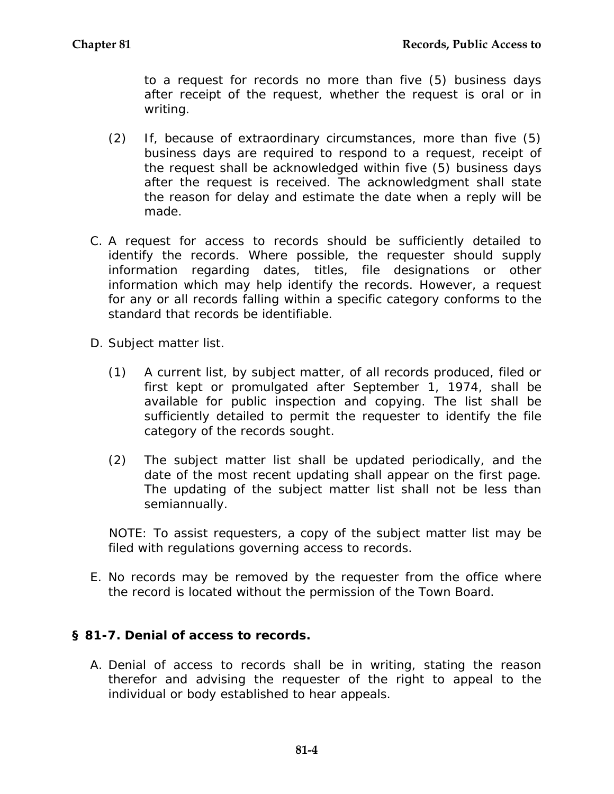to a request for records no more than five (5) business days after receipt of the request, whether the request is oral or in writing.

- (2) If, because of extraordinary circumstances, more than five (5) business days are required to respond to a request, receipt of the request shall be acknowledged within five (5) business days after the request is received. The acknowledgment shall state the reason for delay and estimate the date when a reply will be made.
- C. A request for access to records should be sufficiently detailed to identify the records. Where possible, the requester should supply information regarding dates, titles, file designations or other information which may help identify the records. However, a request for any or all records falling within a specific category conforms to the standard that records be identifiable.
- D. Subject matter list.
	- (1) A current list, by subject matter, of all records produced, filed or first kept or promulgated after September 1, 1974, shall be available for public inspection and copying. The list shall be sufficiently detailed to permit the requester to identify the file category of the records sought.
	- (2) The subject matter list shall be updated periodically, and the date of the most recent updating shall appear on the first page. The updating of the subject matter list shall not be less than semiannually.

NOTE: To assist requesters, a copy of the subject matter list may be filed with regulations governing access to records.

E. No records may be removed by the requester from the office where the record is located without the permission of the Town Board.

## **§ 81-7. Denial of access to records.**

A. Denial of access to records shall be in writing, stating the reason therefor and advising the requester of the right to appeal to the individual or body established to hear appeals.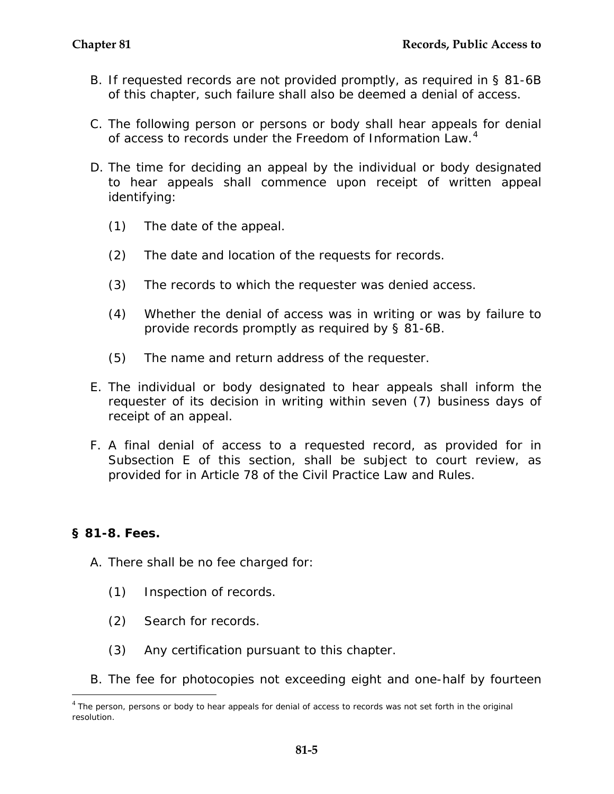- B. If requested records are not provided promptly, as required in § 81-6B of this chapter, such failure shall also be deemed a denial of access.
- C. The following person or persons or body shall hear appeals for denial of access to records under the Freedom of Information Law.<sup>[4](#page-4-0)</sup>
- D. The time for deciding an appeal by the individual or body designated to hear appeals shall commence upon receipt of written appeal identifying:
	- (1) The date of the appeal.
	- (2) The date and location of the requests for records.
	- (3) The records to which the requester was denied access.
	- (4) Whether the denial of access was in writing or was by failure to provide records promptly as required by § 81-6B.
	- (5) The name and return address of the requester.
- E. The individual or body designated to hear appeals shall inform the requester of its decision in writing within seven (7) business days of receipt of an appeal.
- F. A final denial of access to a requested record, as provided for in Subsection E of this section, shall be subject to court review, as provided for in Article 78 of the Civil Practice Law and Rules.

## **§ 81-8. Fees.**

 $\overline{a}$ 

- A. There shall be no fee charged for:
	- (1) Inspection of records.
	- (2) Search for records.
	- (3) Any certification pursuant to this chapter.
- B. The fee for photocopies not exceeding eight and one-half by fourteen

<span id="page-4-0"></span> $4$  The person, persons or body to hear appeals for denial of access to records was not set forth in the original resolution.